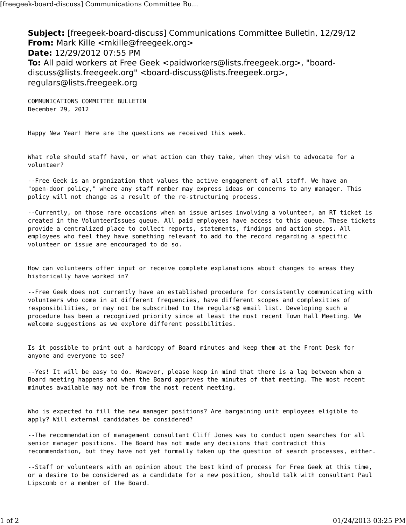**Subject:** [freegeek-board-discuss] Communications Committee Bulletin, 12/29/12 **From:** Mark Kille <mkille@freegeek.org> **Date:** 12/29/2012 07:55 PM **To:** All paid workers at Free Geek <paidworkers@lists.freegeek.org>, "boarddiscuss@lists.freegeek.org" <board-discuss@lists.freegeek.org>, regulars@lists.freegeek.org

COMMUNICATIONS COMMITTEE BULLETIN December 29, 2012

Happy New Year! Here are the questions we received this week.

What role should staff have, or what action can they take, when they wish to advocate for a volunteer?

--Free Geek is an organization that values the active engagement of all staff. We have an "open-door policy," where any staff member may express ideas or concerns to any manager. This policy will not change as a result of the re-structuring process.

--Currently, on those rare occasions when an issue arises involving a volunteer, an RT ticket is created in the VolunteerIssues queue. All paid employees have access to this queue. These tickets provide a centralized place to collect reports, statements, findings and action steps. All employees who feel they have something relevant to add to the record regarding a specific volunteer or issue are encouraged to do so.

How can volunteers offer input or receive complete explanations about changes to areas they historically have worked in?

--Free Geek does not currently have an established procedure for consistently communicating with volunteers who come in at different frequencies, have different scopes and complexities of responsibilities, or may not be subscribed to the regulars@ email list. Developing such a procedure has been a recognized priority since at least the most recent Town Hall Meeting. We welcome suggestions as we explore different possibilities.

Is it possible to print out a hardcopy of Board minutes and keep them at the Front Desk for anyone and everyone to see?

--Yes! It will be easy to do. However, please keep in mind that there is a lag between when a Board meeting happens and when the Board approves the minutes of that meeting. The most recent minutes available may not be from the most recent meeting.

Who is expected to fill the new manager positions? Are bargaining unit employees eligible to apply? Will external candidates be considered?

--The recommendation of management consultant Cliff Jones was to conduct open searches for all senior manager positions. The Board has not made any decisions that contradict this recommendation, but they have not yet formally taken up the question of search processes, either.

--Staff or volunteers with an opinion about the best kind of process for Free Geek at this time, or a desire to be considered as a candidate for a new position, should talk with consultant Paul Lipscomb or a member of the Board.